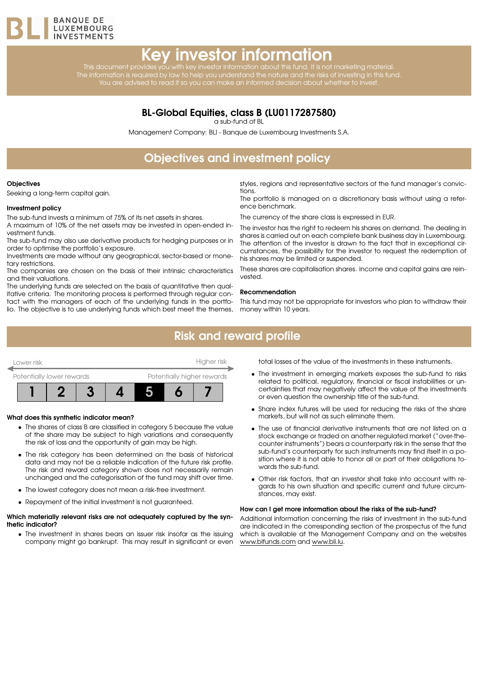

# Key investor information

This document provides you with key investor information about this fund. It is not marketing material. The information is required by law to help you understand the nature and the risks of investing in this fund. You are advised to read it so you can make an informed decision about whether to invest.

### BL-Global Equities, class B (LU0117287580)

a sub-fund of BL

Management Company: BLI - Banque de Luxembourg Investments S.A.

# Objectives and investment policy

#### **Objectives**

Seeking a long-term capital gain.

#### Investment policy

The sub-fund invests a minimum of 75% of its net assets in shares.

A maximum of 10% of the net assets may be invested in open-ended investment funds.

The sub-fund may also use derivative products for hedging purposes or in order to optimise the portfolio's exposure.

Investments are made without any geographical, sector-based or monetary restrictions.

The companies are chosen on the basis of their intrinsic characteristics and their valuations.

The underlying funds are selected on the basis of quantitative then qualitative criteria. The monitoring process is performed through regular contact with the managers of each of the underlying funds in the portfolio. The objective is to use underlying funds which best meet the themes,

styles, regions and representative sectors of the fund manager's convictions.

The portfolio is managed on a discretionary basis without using a reference benchmark.

The currency of the share class is expressed in EUR.

The investor has the right to redeem his shares on demand. The dealing in shares is carried out on each complete bank business day in Luxembourg. The attention of the investor is drawn to the fact that in exceptional circumstances, the possibility for the investor to request the redemption of his shares may be limited or suspended.

These shares are capitalisation shares. Income and capital gains are reinvested.

#### Recommendation

This fund may not be appropriate for investors who plan to withdraw their money within 10 years.

### Risk and reward profile



#### What does this synthetic indicator mean?

- The shares of class B are classified in category 5 because the value of the share may be subject to high variations and consequently the risk of loss and the opportunity of gain may be high.
- The risk category has been determined on the basis of historical data and may not be a reliable indication of the future risk profile. The risk and reward category shown does not necessarily remain unchanged and the categorisation of the fund may shift over time.
- The lowest category does not mean a risk-free investment.
- Repayment of the initial investment is not guaranteed.

#### Which materially relevant risks are not adequately captured by the synthetic indicator?

• The investment in shares bears an issuer risk insofar as the issuing company might go bankrupt. This may result in significant or even total losses of the value of the investments in these instruments.

- The investment in emerging markets exposes the sub-fund to risks related to political, regulatory, financial or fiscal instabilities or uncertainties that may negatively affect the value of the investments or even question the ownership title of the sub-fund.
- Share index futures will be used for reducing the risks of the share markets, but will not as such eliminate them.
- The use of financial derivative instruments that are not listed on a stock exchange or traded on another regulated market ("over-thecounter instruments") bears a counterparty risk in the sense that the sub-fund's counterparty for such instruments may find itself in a position where it is not able to honor all or part of their obligations towards the sub-fund.
- Other risk factors, that an investor shall take into account with regards to his own situation and specific current and future circumstances, may exist.

#### How can I get more information about the risks of the sub-fund?

Additional information concerning the risks of investment in the sub-fund are indicated in the corresponding section of the prospectus of the fund which is available at the Management Company and on the websites [www.blfunds.com](http://www.blfunds.com) and [www.bli.lu.](http://www.bli.lu)